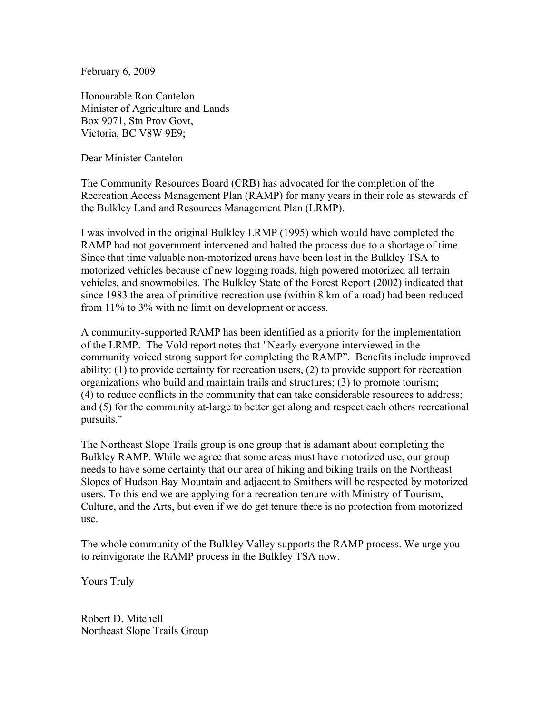February 6, 2009

Honourable Ron Cantelon Minister of Agriculture and Lands Box 9071, Stn Prov Govt, Victoria, BC V8W 9E9;

Dear Minister Cantelon

The Community Resources Board (CRB) has advocated for the completion of the Recreation Access Management Plan (RAMP) for many years in their role as stewards of the Bulkley Land and Resources Management Plan (LRMP).

I was involved in the original Bulkley LRMP (1995) which would have completed the RAMP had not government intervened and halted the process due to a shortage of time. Since that time valuable non-motorized areas have been lost in the Bulkley TSA to motorized vehicles because of new logging roads, high powered motorized all terrain vehicles, and snowmobiles. The Bulkley State of the Forest Report (2002) indicated that since 1983 the area of primitive recreation use (within 8 km of a road) had been reduced from 11% to 3% with no limit on development or access.

A community-supported RAMP has been identified as a priority for the implementation of the LRMP. The Vold report notes that "Nearly everyone interviewed in the community voiced strong support for completing the RAMP". Benefits include improved ability: (1) to provide certainty for recreation users, (2) to provide support for recreation organizations who build and maintain trails and structures; (3) to promote tourism; (4) to reduce conflicts in the community that can take considerable resources to address; and (5) for the community at-large to better get along and respect each others recreational pursuits."

The Northeast Slope Trails group is one group that is adamant about completing the Bulkley RAMP. While we agree that some areas must have motorized use, our group needs to have some certainty that our area of hiking and biking trails on the Northeast Slopes of Hudson Bay Mountain and adjacent to Smithers will be respected by motorized users. To this end we are applying for a recreation tenure with Ministry of Tourism, Culture, and the Arts, but even if we do get tenure there is no protection from motorized use.

The whole community of the Bulkley Valley supports the RAMP process. We urge you to reinvigorate the RAMP process in the Bulkley TSA now.

Yours Truly

Robert D. Mitchell Northeast Slope Trails Group